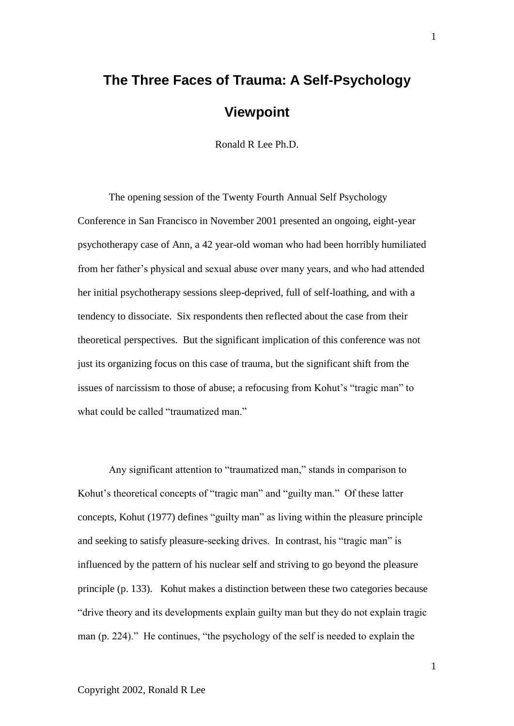# **The Three Faces of Trauma: A Self-Psychology Viewpoint**

Ronald R Lee Ph.D.

The opening session of the Twenty Fourth Annual Self Psychology Conference in San Francisco in November 2001 presented an ongoing, eight-year psychotherapy case of Ann, a 42 year-old woman who had been horribly humiliated from her father's physical and sexual abuse over many years, and who had attended her initial psychotherapy sessions sleep-deprived, full of self-loathing, and with a tendency to dissociate. Six respondents then reflected about the case from their theoretical perspectives. But the significant implication of this conference was not just its organizing focus on this case of trauma, but the significant shift from the issues of narcissism to those of abuse; a refocusing from Kohut's "tragic man" to what could be called "traumatized man."

Any significant attention to "traumatized man," stands in comparison to Kohut's theoretical concepts of "tragic man" and "guilty man." Of these latter concepts, Kohut (1977) defines "guilty man" as living within the pleasure principle and seeking to satisfy pleasure-seeking drives. In contrast, his "tragic man" is influenced by the pattern of his nuclear self and striving to go beyond the pleasure principle (p. 133). Kohut makes a distinction between these two categories because "drive theory and its developments explain guilty man but they do not explain tragic man (p. 224)." He continues, "the psychology of the self is needed to explain the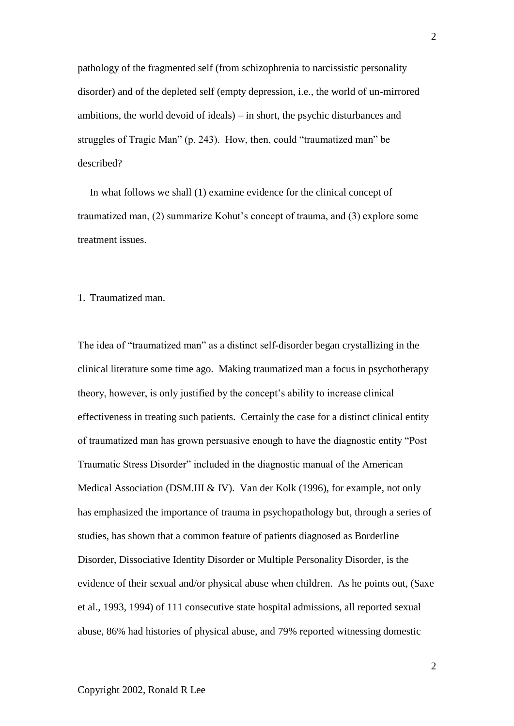pathology of the fragmented self (from schizophrenia to narcissistic personality disorder) and of the depleted self (empty depression, i.e., the world of un-mirrored ambitions, the world devoid of ideals) – in short, the psychic disturbances and struggles of Tragic Man" (p. 243). How, then, could "traumatized man" be described?

In what follows we shall (1) examine evidence for the clinical concept of traumatized man, (2) summarize Kohut's concept of trauma, and (3) explore some treatment issues.

#### 1. Traumatized man.

The idea of "traumatized man" as a distinct self-disorder began crystallizing in the clinical literature some time ago. Making traumatized man a focus in psychotherapy theory, however, is only justified by the concept's ability to increase clinical effectiveness in treating such patients. Certainly the case for a distinct clinical entity of traumatized man has grown persuasive enough to have the diagnostic entity "Post Traumatic Stress Disorder" included in the diagnostic manual of the American Medical Association (DSM.III & IV). Van der Kolk (1996), for example, not only has emphasized the importance of trauma in psychopathology but, through a series of studies, has shown that a common feature of patients diagnosed as Borderline Disorder, Dissociative Identity Disorder or Multiple Personality Disorder, is the evidence of their sexual and/or physical abuse when children. As he points out, (Saxe et al., 1993, 1994) of 111 consecutive state hospital admissions, all reported sexual abuse, 86% had histories of physical abuse, and 79% reported witnessing domestic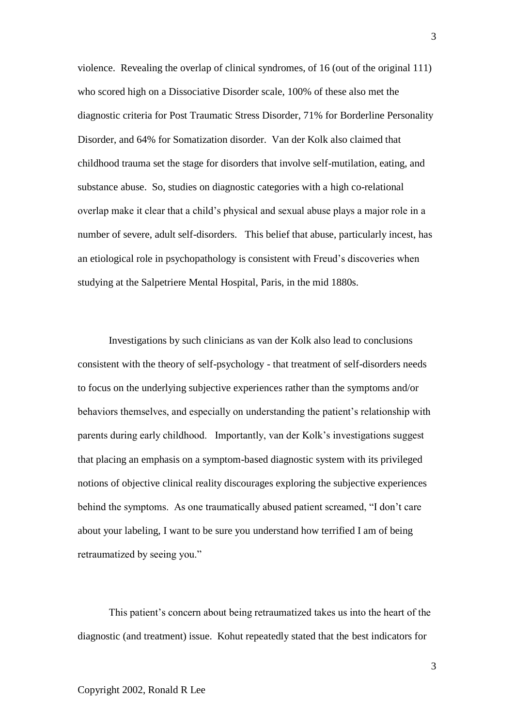violence. Revealing the overlap of clinical syndromes, of 16 (out of the original 111) who scored high on a Dissociative Disorder scale, 100% of these also met the diagnostic criteria for Post Traumatic Stress Disorder, 71% for Borderline Personality Disorder, and 64% for Somatization disorder. Van der Kolk also claimed that childhood trauma set the stage for disorders that involve self-mutilation, eating, and substance abuse. So, studies on diagnostic categories with a high co-relational overlap make it clear that a child's physical and sexual abuse plays a major role in a number of severe, adult self-disorders. This belief that abuse, particularly incest, has an etiological role in psychopathology is consistent with Freud's discoveries when studying at the Salpetriere Mental Hospital, Paris, in the mid 1880s.

Investigations by such clinicians as van der Kolk also lead to conclusions consistent with the theory of self-psychology - that treatment of self-disorders needs to focus on the underlying subjective experiences rather than the symptoms and/or behaviors themselves, and especially on understanding the patient's relationship with parents during early childhood. Importantly, van der Kolk's investigations suggest that placing an emphasis on a symptom-based diagnostic system with its privileged notions of objective clinical reality discourages exploring the subjective experiences behind the symptoms. As one traumatically abused patient screamed, "I don't care about your labeling, I want to be sure you understand how terrified I am of being retraumatized by seeing you."

This patient's concern about being retraumatized takes us into the heart of the diagnostic (and treatment) issue. Kohut repeatedly stated that the best indicators for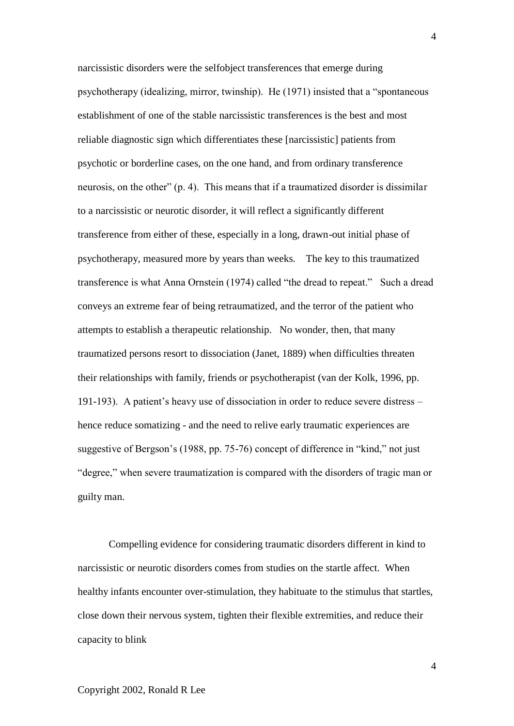narcissistic disorders were the selfobject transferences that emerge during psychotherapy (idealizing, mirror, twinship). He (1971) insisted that a "spontaneous establishment of one of the stable narcissistic transferences is the best and most reliable diagnostic sign which differentiates these [narcissistic] patients from psychotic or borderline cases, on the one hand, and from ordinary transference neurosis, on the other" (p. 4). This means that if a traumatized disorder is dissimilar to a narcissistic or neurotic disorder, it will reflect a significantly different transference from either of these, especially in a long, drawn-out initial phase of psychotherapy, measured more by years than weeks. The key to this traumatized transference is what Anna Ornstein (1974) called "the dread to repeat." Such a dread conveys an extreme fear of being retraumatized, and the terror of the patient who attempts to establish a therapeutic relationship. No wonder, then, that many traumatized persons resort to dissociation (Janet, 1889) when difficulties threaten their relationships with family, friends or psychotherapist (van der Kolk, 1996, pp. 191-193). A patient's heavy use of dissociation in order to reduce severe distress – hence reduce somatizing - and the need to relive early traumatic experiences are suggestive of Bergson's (1988, pp. 75-76) concept of difference in "kind," not just "degree," when severe traumatization is compared with the disorders of tragic man or guilty man.

Compelling evidence for considering traumatic disorders different in kind to narcissistic or neurotic disorders comes from studies on the startle affect. When healthy infants encounter over-stimulation, they habituate to the stimulus that startles, close down their nervous system, tighten their flexible extremities, and reduce their capacity to blink

Copyright 2002, Ronald R Lee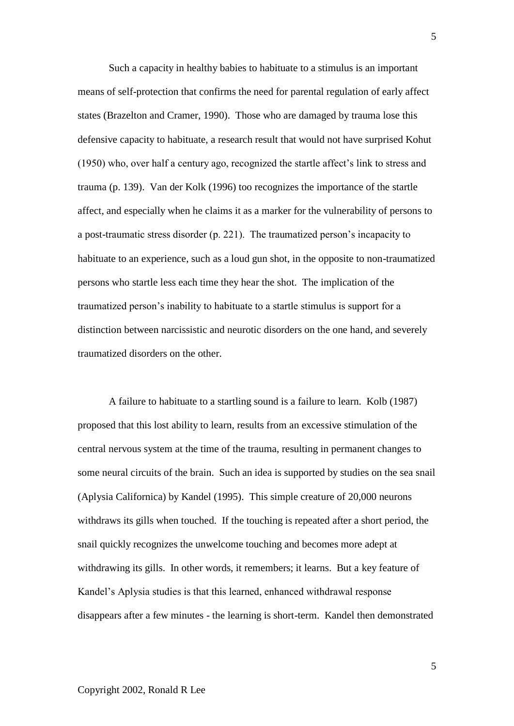Such a capacity in healthy babies to habituate to a stimulus is an important means of self-protection that confirms the need for parental regulation of early affect states (Brazelton and Cramer, 1990). Those who are damaged by trauma lose this defensive capacity to habituate, a research result that would not have surprised Kohut (1950) who, over half a century ago, recognized the startle affect's link to stress and trauma (p. 139). Van der Kolk (1996) too recognizes the importance of the startle affect, and especially when he claims it as a marker for the vulnerability of persons to a post-traumatic stress disorder (p. 221). The traumatized person's incapacity to habituate to an experience, such as a loud gun shot, in the opposite to non-traumatized persons who startle less each time they hear the shot. The implication of the traumatized person's inability to habituate to a startle stimulus is support for a distinction between narcissistic and neurotic disorders on the one hand, and severely traumatized disorders on the other.

A failure to habituate to a startling sound is a failure to learn. Kolb (1987) proposed that this lost ability to learn, results from an excessive stimulation of the central nervous system at the time of the trauma, resulting in permanent changes to some neural circuits of the brain. Such an idea is supported by studies on the sea snail (Aplysia Californica) by Kandel (1995). This simple creature of 20,000 neurons withdraws its gills when touched. If the touching is repeated after a short period, the snail quickly recognizes the unwelcome touching and becomes more adept at withdrawing its gills. In other words, it remembers; it learns. But a key feature of Kandel's Aplysia studies is that this learned, enhanced withdrawal response disappears after a few minutes - the learning is short-term. Kandel then demonstrated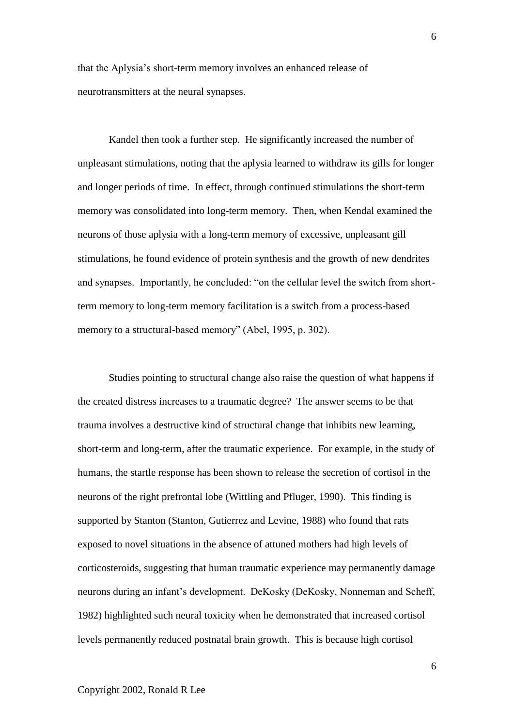that the Aplysia's short-term memory involves an enhanced release of neurotransmitters at the neural synapses.

Kandel then took a further step. He significantly increased the number of unpleasant stimulations, noting that the aplysia learned to withdraw its gills for longer and longer periods of time. In effect, through continued stimulations the short-term memory was consolidated into long-term memory. Then, when Kendal examined the neurons of those aplysia with a long-term memory of excessive, unpleasant gill stimulations, he found evidence of protein synthesis and the growth of new dendrites and synapses. Importantly, he concluded: "on the cellular level the switch from shortterm memory to long-term memory facilitation is a switch from a process-based memory to a structural-based memory" (Abel, 1995, p. 302).

Studies pointing to structural change also raise the question of what happens if the created distress increases to a traumatic degree? The answer seems to be that trauma involves a destructive kind of structural change that inhibits new learning, short-term and long-term, after the traumatic experience. For example, in the study of humans, the startle response has been shown to release the secretion of cortisol in the neurons of the right prefrontal lobe (Wittling and Pfluger, 1990). This finding is supported by Stanton (Stanton, Gutierrez and Levine, 1988) who found that rats exposed to novel situations in the absence of attuned mothers had high levels of corticosteroids, suggesting that human traumatic experience may permanently damage neurons during an infant's development. DeKosky (DeKosky, Nonneman and Scheff, 1982) highlighted such neural toxicity when he demonstrated that increased cortisol levels permanently reduced postnatal brain growth. This is because high cortisol

Copyright 2002, Ronald R Lee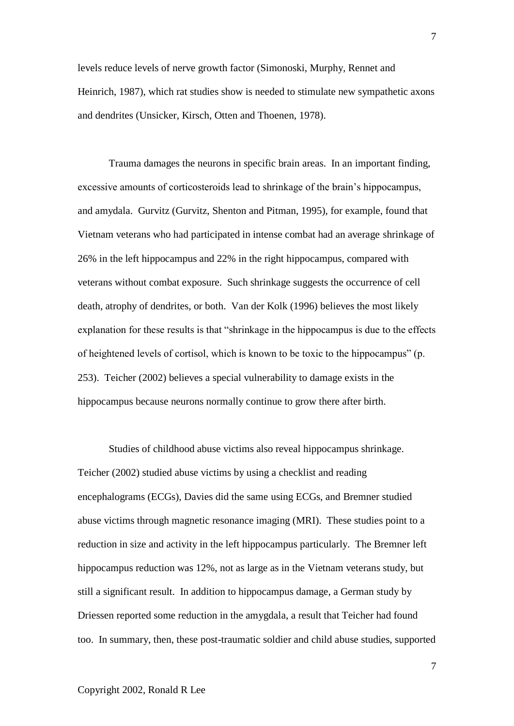levels reduce levels of nerve growth factor (Simonoski, Murphy, Rennet and Heinrich, 1987), which rat studies show is needed to stimulate new sympathetic axons and dendrites (Unsicker, Kirsch, Otten and Thoenen, 1978).

Trauma damages the neurons in specific brain areas. In an important finding, excessive amounts of corticosteroids lead to shrinkage of the brain's hippocampus, and amydala. Gurvitz (Gurvitz, Shenton and Pitman, 1995), for example, found that Vietnam veterans who had participated in intense combat had an average shrinkage of 26% in the left hippocampus and 22% in the right hippocampus, compared with veterans without combat exposure. Such shrinkage suggests the occurrence of cell death, atrophy of dendrites, or both. Van der Kolk (1996) believes the most likely explanation for these results is that "shrinkage in the hippocampus is due to the effects of heightened levels of cortisol, which is known to be toxic to the hippocampus" (p. 253). Teicher (2002) believes a special vulnerability to damage exists in the hippocampus because neurons normally continue to grow there after birth.

Studies of childhood abuse victims also reveal hippocampus shrinkage. Teicher (2002) studied abuse victims by using a checklist and reading encephalograms (ECGs), Davies did the same using ECGs, and Bremner studied abuse victims through magnetic resonance imaging (MRI). These studies point to a reduction in size and activity in the left hippocampus particularly. The Bremner left hippocampus reduction was 12%, not as large as in the Vietnam veterans study, but still a significant result. In addition to hippocampus damage, a German study by Driessen reported some reduction in the amygdala, a result that Teicher had found too. In summary, then, these post-traumatic soldier and child abuse studies, supported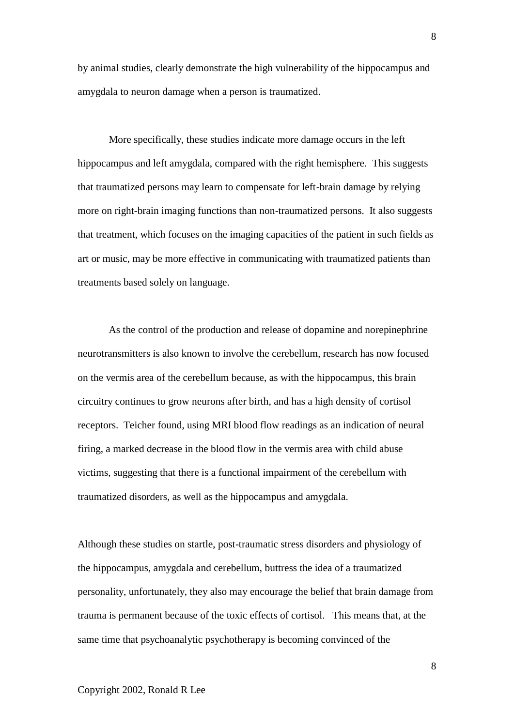by animal studies, clearly demonstrate the high vulnerability of the hippocampus and amygdala to neuron damage when a person is traumatized.

More specifically, these studies indicate more damage occurs in the left hippocampus and left amygdala, compared with the right hemisphere. This suggests that traumatized persons may learn to compensate for left-brain damage by relying more on right-brain imaging functions than non-traumatized persons. It also suggests that treatment, which focuses on the imaging capacities of the patient in such fields as art or music, may be more effective in communicating with traumatized patients than treatments based solely on language.

As the control of the production and release of dopamine and norepinephrine neurotransmitters is also known to involve the cerebellum, research has now focused on the vermis area of the cerebellum because, as with the hippocampus, this brain circuitry continues to grow neurons after birth, and has a high density of cortisol receptors. Teicher found, using MRI blood flow readings as an indication of neural firing, a marked decrease in the blood flow in the vermis area with child abuse victims, suggesting that there is a functional impairment of the cerebellum with traumatized disorders, as well as the hippocampus and amygdala.

Although these studies on startle, post-traumatic stress disorders and physiology of the hippocampus, amygdala and cerebellum, buttress the idea of a traumatized personality, unfortunately, they also may encourage the belief that brain damage from trauma is permanent because of the toxic effects of cortisol. This means that, at the same time that psychoanalytic psychotherapy is becoming convinced of the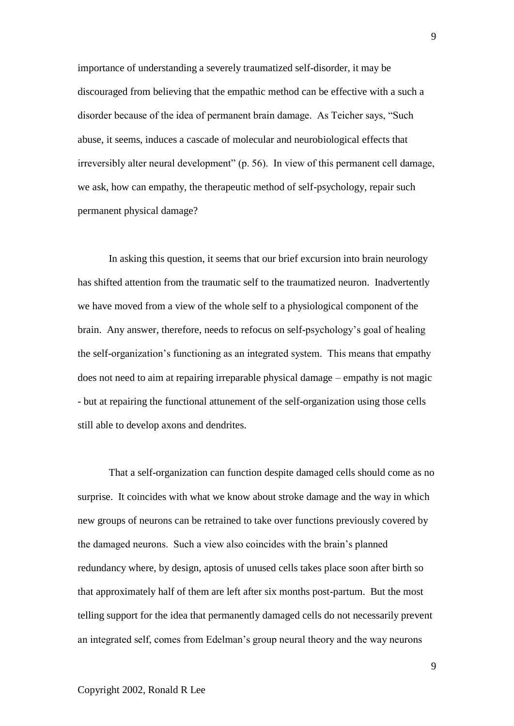importance of understanding a severely traumatized self-disorder, it may be discouraged from believing that the empathic method can be effective with a such a disorder because of the idea of permanent brain damage. As Teicher says, "Such abuse, it seems, induces a cascade of molecular and neurobiological effects that irreversibly alter neural development" (p. 56). In view of this permanent cell damage, we ask, how can empathy, the therapeutic method of self-psychology, repair such permanent physical damage?

In asking this question, it seems that our brief excursion into brain neurology has shifted attention from the traumatic self to the traumatized neuron. Inadvertently we have moved from a view of the whole self to a physiological component of the brain. Any answer, therefore, needs to refocus on self-psychology's goal of healing the self-organization's functioning as an integrated system. This means that empathy does not need to aim at repairing irreparable physical damage – empathy is not magic - but at repairing the functional attunement of the self-organization using those cells still able to develop axons and dendrites.

That a self-organization can function despite damaged cells should come as no surprise. It coincides with what we know about stroke damage and the way in which new groups of neurons can be retrained to take over functions previously covered by the damaged neurons. Such a view also coincides with the brain's planned redundancy where, by design, aptosis of unused cells takes place soon after birth so that approximately half of them are left after six months post-partum. But the most telling support for the idea that permanently damaged cells do not necessarily prevent an integrated self, comes from Edelman's group neural theory and the way neurons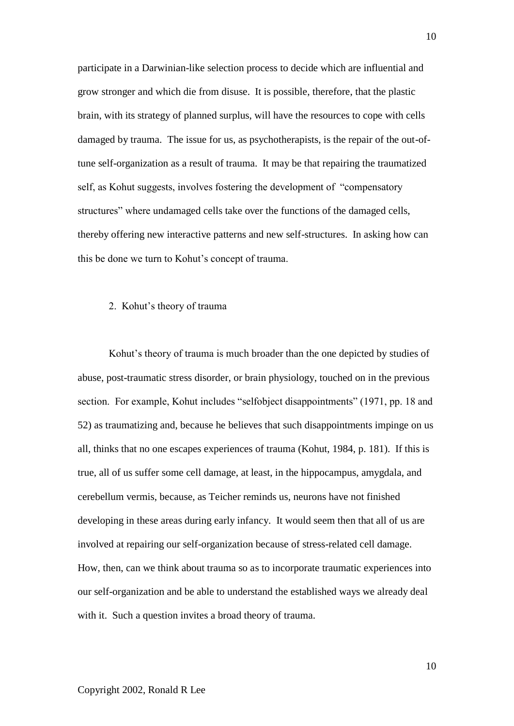participate in a Darwinian-like selection process to decide which are influential and grow stronger and which die from disuse. It is possible, therefore, that the plastic brain, with its strategy of planned surplus, will have the resources to cope with cells damaged by trauma. The issue for us, as psychotherapists, is the repair of the out-oftune self-organization as a result of trauma. It may be that repairing the traumatized self, as Kohut suggests, involves fostering the development of "compensatory structures" where undamaged cells take over the functions of the damaged cells, thereby offering new interactive patterns and new self-structures. In asking how can this be done we turn to Kohut's concept of trauma.

### 2. Kohut's theory of trauma

Kohut's theory of trauma is much broader than the one depicted by studies of abuse, post-traumatic stress disorder, or brain physiology, touched on in the previous section. For example, Kohut includes "selfobject disappointments" (1971, pp. 18 and 52) as traumatizing and, because he believes that such disappointments impinge on us all, thinks that no one escapes experiences of trauma (Kohut, 1984, p. 181). If this is true, all of us suffer some cell damage, at least, in the hippocampus, amygdala, and cerebellum vermis, because, as Teicher reminds us, neurons have not finished developing in these areas during early infancy. It would seem then that all of us are involved at repairing our self-organization because of stress-related cell damage. How, then, can we think about trauma so as to incorporate traumatic experiences into our self-organization and be able to understand the established ways we already deal with it. Such a question invites a broad theory of trauma.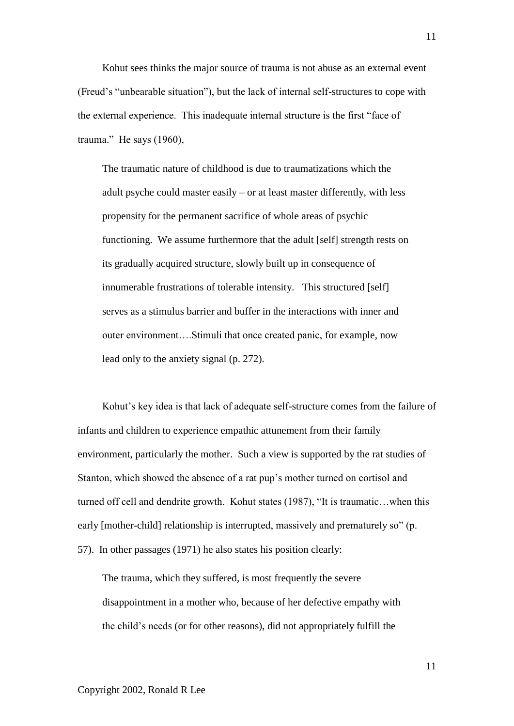Kohut sees thinks the major source of trauma is not abuse as an external event (Freud's "unbearable situation"), but the lack of internal self-structures to cope with the external experience. This inadequate internal structure is the first "face of trauma." He says (1960),

The traumatic nature of childhood is due to traumatizations which the adult psyche could master easily – or at least master differently, with less propensity for the permanent sacrifice of whole areas of psychic functioning. We assume furthermore that the adult [self] strength rests on its gradually acquired structure, slowly built up in consequence of innumerable frustrations of tolerable intensity. This structured [self] serves as a stimulus barrier and buffer in the interactions with inner and outer environment….Stimuli that once created panic, for example, now lead only to the anxiety signal (p. 272).

Kohut's key idea is that lack of adequate self-structure comes from the failure of infants and children to experience empathic attunement from their family environment, particularly the mother. Such a view is supported by the rat studies of Stanton, which showed the absence of a rat pup's mother turned on cortisol and turned off cell and dendrite growth. Kohut states (1987), "It is traumatic…when this early [mother-child] relationship is interrupted, massively and prematurely so" (p. 57). In other passages (1971) he also states his position clearly:

The trauma, which they suffered, is most frequently the severe disappointment in a mother who, because of her defective empathy with the child's needs (or for other reasons), did not appropriately fulfill the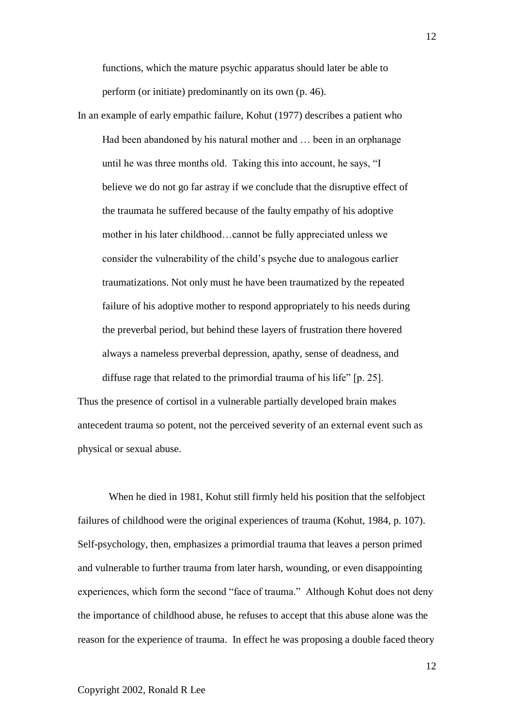functions, which the mature psychic apparatus should later be able to perform (or initiate) predominantly on its own (p. 46).

In an example of early empathic failure, Kohut (1977) describes a patient who Had been abandoned by his natural mother and … been in an orphanage until he was three months old. Taking this into account, he says, "I believe we do not go far astray if we conclude that the disruptive effect of the traumata he suffered because of the faulty empathy of his adoptive mother in his later childhood…cannot be fully appreciated unless we consider the vulnerability of the child's psyche due to analogous earlier traumatizations. Not only must he have been traumatized by the repeated failure of his adoptive mother to respond appropriately to his needs during the preverbal period, but behind these layers of frustration there hovered always a nameless preverbal depression, apathy, sense of deadness, and diffuse rage that related to the primordial trauma of his life" [p. 25].

Thus the presence of cortisol in a vulnerable partially developed brain makes antecedent trauma so potent, not the perceived severity of an external event such as physical or sexual abuse.

When he died in 1981, Kohut still firmly held his position that the selfobject failures of childhood were the original experiences of trauma (Kohut, 1984, p. 107). Self-psychology, then, emphasizes a primordial trauma that leaves a person primed and vulnerable to further trauma from later harsh, wounding, or even disappointing experiences, which form the second "face of trauma." Although Kohut does not deny the importance of childhood abuse, he refuses to accept that this abuse alone was the reason for the experience of trauma. In effect he was proposing a double faced theory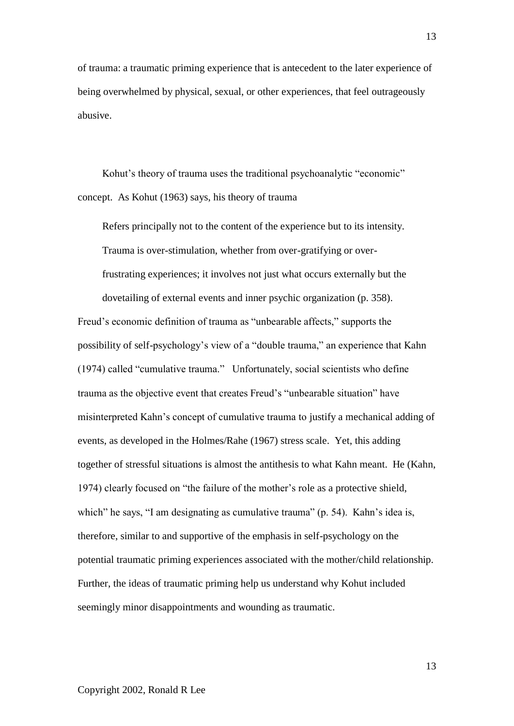of trauma: a traumatic priming experience that is antecedent to the later experience of being overwhelmed by physical, sexual, or other experiences, that feel outrageously abusive.

Kohut's theory of trauma uses the traditional psychoanalytic "economic" concept. As Kohut (1963) says, his theory of trauma

Refers principally not to the content of the experience but to its intensity. Trauma is over-stimulation, whether from over-gratifying or overfrustrating experiences; it involves not just what occurs externally but the

dovetailing of external events and inner psychic organization (p. 358).

Freud's economic definition of trauma as "unbearable affects," supports the possibility of self-psychology's view of a "double trauma," an experience that Kahn (1974) called "cumulative trauma." Unfortunately, social scientists who define trauma as the objective event that creates Freud's "unbearable situation" have misinterpreted Kahn's concept of cumulative trauma to justify a mechanical adding of events, as developed in the Holmes/Rahe (1967) stress scale. Yet, this adding together of stressful situations is almost the antithesis to what Kahn meant. He (Kahn, 1974) clearly focused on "the failure of the mother's role as a protective shield, which" he says, "I am designating as cumulative trauma" (p. 54). Kahn's idea is, therefore, similar to and supportive of the emphasis in self-psychology on the potential traumatic priming experiences associated with the mother/child relationship. Further, the ideas of traumatic priming help us understand why Kohut included seemingly minor disappointments and wounding as traumatic.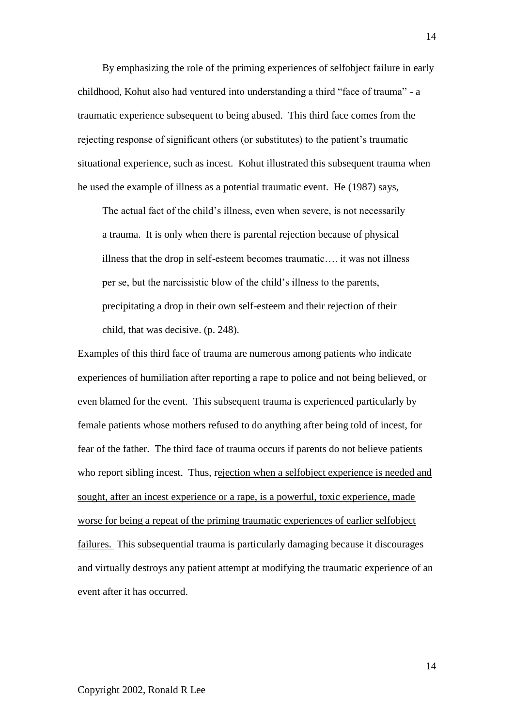By emphasizing the role of the priming experiences of selfobject failure in early childhood, Kohut also had ventured into understanding a third "face of trauma" - a traumatic experience subsequent to being abused. This third face comes from the rejecting response of significant others (or substitutes) to the patient's traumatic situational experience, such as incest. Kohut illustrated this subsequent trauma when he used the example of illness as a potential traumatic event. He (1987) says,

The actual fact of the child's illness, even when severe, is not necessarily a trauma. It is only when there is parental rejection because of physical illness that the drop in self-esteem becomes traumatic…. it was not illness per se, but the narcissistic blow of the child's illness to the parents, precipitating a drop in their own self-esteem and their rejection of their child, that was decisive. (p. 248).

Examples of this third face of trauma are numerous among patients who indicate experiences of humiliation after reporting a rape to police and not being believed, or even blamed for the event. This subsequent trauma is experienced particularly by female patients whose mothers refused to do anything after being told of incest, for fear of the father. The third face of trauma occurs if parents do not believe patients who report sibling incest. Thus, rejection when a selfobject experience is needed and sought, after an incest experience or a rape, is a powerful, toxic experience, made worse for being a repeat of the priming traumatic experiences of earlier selfobject failures. This subsequential trauma is particularly damaging because it discourages and virtually destroys any patient attempt at modifying the traumatic experience of an event after it has occurred.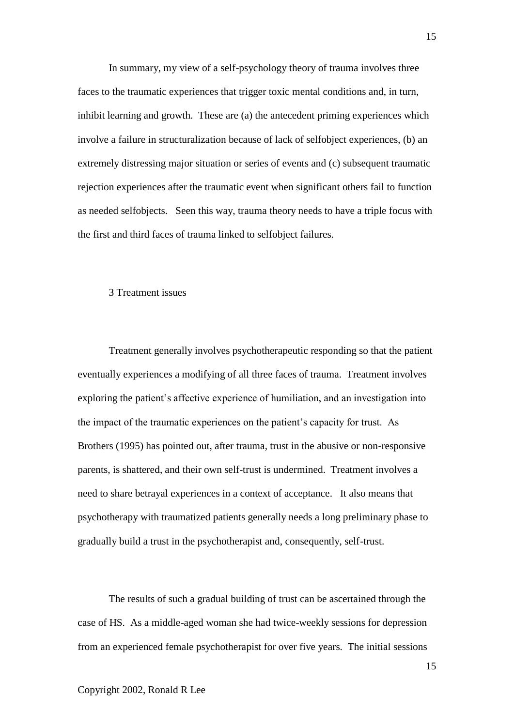In summary, my view of a self-psychology theory of trauma involves three faces to the traumatic experiences that trigger toxic mental conditions and, in turn, inhibit learning and growth. These are (a) the antecedent priming experiences which involve a failure in structuralization because of lack of selfobject experiences, (b) an extremely distressing major situation or series of events and (c) subsequent traumatic rejection experiences after the traumatic event when significant others fail to function as needed selfobjects. Seen this way, trauma theory needs to have a triple focus with the first and third faces of trauma linked to selfobject failures.

#### 3 Treatment issues

Treatment generally involves psychotherapeutic responding so that the patient eventually experiences a modifying of all three faces of trauma. Treatment involves exploring the patient's affective experience of humiliation, and an investigation into the impact of the traumatic experiences on the patient's capacity for trust. As Brothers (1995) has pointed out, after trauma, trust in the abusive or non-responsive parents, is shattered, and their own self-trust is undermined. Treatment involves a need to share betrayal experiences in a context of acceptance. It also means that psychotherapy with traumatized patients generally needs a long preliminary phase to gradually build a trust in the psychotherapist and, consequently, self-trust.

The results of such a gradual building of trust can be ascertained through the case of HS. As a middle-aged woman she had twice-weekly sessions for depression from an experienced female psychotherapist for over five years. The initial sessions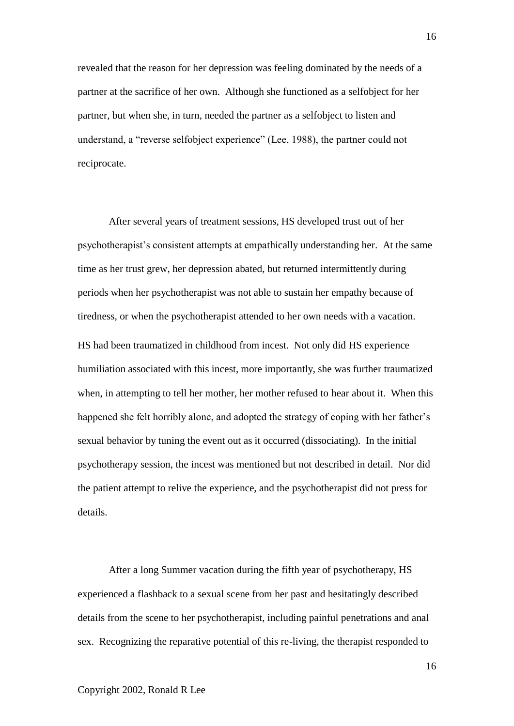revealed that the reason for her depression was feeling dominated by the needs of a partner at the sacrifice of her own. Although she functioned as a selfobject for her partner, but when she, in turn, needed the partner as a selfobject to listen and understand, a "reverse selfobject experience" (Lee, 1988), the partner could not reciprocate.

After several years of treatment sessions, HS developed trust out of her psychotherapist's consistent attempts at empathically understanding her. At the same time as her trust grew, her depression abated, but returned intermittently during periods when her psychotherapist was not able to sustain her empathy because of tiredness, or when the psychotherapist attended to her own needs with a vacation. HS had been traumatized in childhood from incest. Not only did HS experience humiliation associated with this incest, more importantly, she was further traumatized when, in attempting to tell her mother, her mother refused to hear about it. When this happened she felt horribly alone, and adopted the strategy of coping with her father's sexual behavior by tuning the event out as it occurred (dissociating). In the initial psychotherapy session, the incest was mentioned but not described in detail. Nor did the patient attempt to relive the experience, and the psychotherapist did not press for details.

After a long Summer vacation during the fifth year of psychotherapy, HS experienced a flashback to a sexual scene from her past and hesitatingly described details from the scene to her psychotherapist, including painful penetrations and anal sex. Recognizing the reparative potential of this re-living, the therapist responded to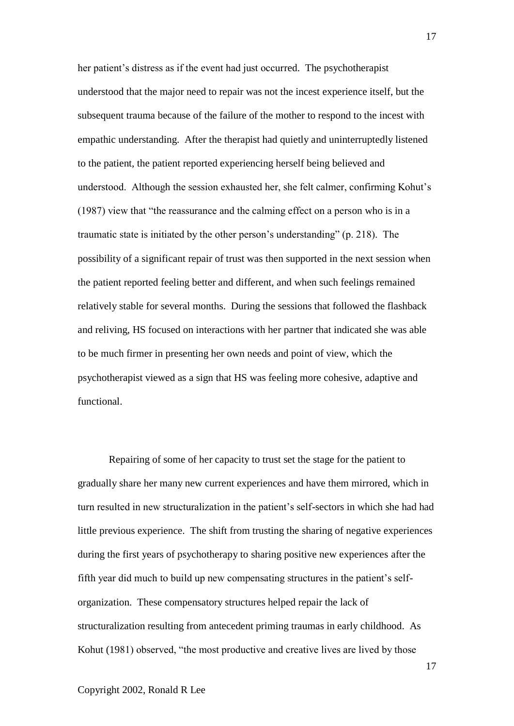her patient's distress as if the event had just occurred. The psychotherapist understood that the major need to repair was not the incest experience itself, but the subsequent trauma because of the failure of the mother to respond to the incest with empathic understanding. After the therapist had quietly and uninterruptedly listened to the patient, the patient reported experiencing herself being believed and understood. Although the session exhausted her, she felt calmer, confirming Kohut's (1987) view that "the reassurance and the calming effect on a person who is in a traumatic state is initiated by the other person's understanding" (p. 218). The possibility of a significant repair of trust was then supported in the next session when the patient reported feeling better and different, and when such feelings remained relatively stable for several months. During the sessions that followed the flashback and reliving, HS focused on interactions with her partner that indicated she was able to be much firmer in presenting her own needs and point of view, which the psychotherapist viewed as a sign that HS was feeling more cohesive, adaptive and functional.

Repairing of some of her capacity to trust set the stage for the patient to gradually share her many new current experiences and have them mirrored, which in turn resulted in new structuralization in the patient's self-sectors in which she had had little previous experience. The shift from trusting the sharing of negative experiences during the first years of psychotherapy to sharing positive new experiences after the fifth year did much to build up new compensating structures in the patient's selforganization. These compensatory structures helped repair the lack of structuralization resulting from antecedent priming traumas in early childhood. As Kohut (1981) observed, "the most productive and creative lives are lived by those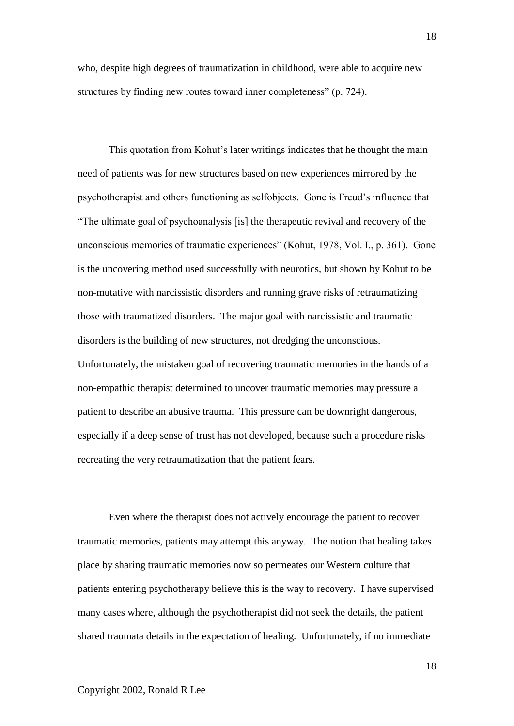who, despite high degrees of traumatization in childhood, were able to acquire new structures by finding new routes toward inner completeness" (p. 724).

This quotation from Kohut's later writings indicates that he thought the main need of patients was for new structures based on new experiences mirrored by the psychotherapist and others functioning as selfobjects. Gone is Freud's influence that "The ultimate goal of psychoanalysis [is] the therapeutic revival and recovery of the unconscious memories of traumatic experiences" (Kohut, 1978, Vol. I., p. 361). Gone is the uncovering method used successfully with neurotics, but shown by Kohut to be non-mutative with narcissistic disorders and running grave risks of retraumatizing those with traumatized disorders. The major goal with narcissistic and traumatic disorders is the building of new structures, not dredging the unconscious. Unfortunately, the mistaken goal of recovering traumatic memories in the hands of a non-empathic therapist determined to uncover traumatic memories may pressure a patient to describe an abusive trauma. This pressure can be downright dangerous, especially if a deep sense of trust has not developed, because such a procedure risks recreating the very retraumatization that the patient fears.

Even where the therapist does not actively encourage the patient to recover traumatic memories, patients may attempt this anyway. The notion that healing takes place by sharing traumatic memories now so permeates our Western culture that patients entering psychotherapy believe this is the way to recovery. I have supervised many cases where, although the psychotherapist did not seek the details, the patient shared traumata details in the expectation of healing. Unfortunately, if no immediate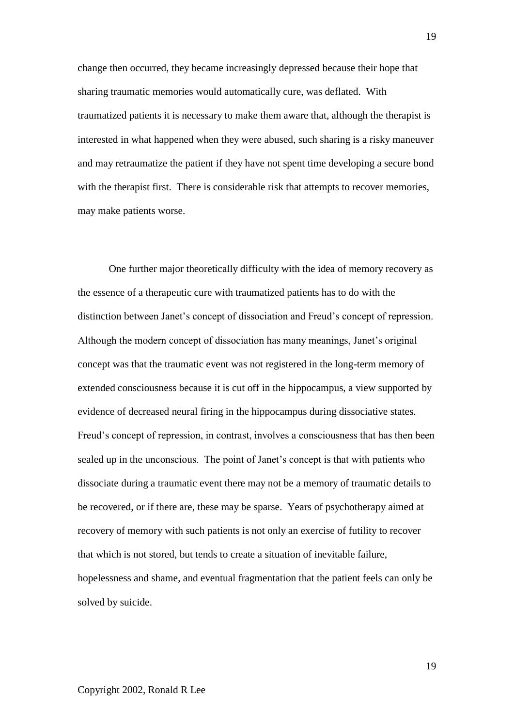change then occurred, they became increasingly depressed because their hope that sharing traumatic memories would automatically cure, was deflated. With traumatized patients it is necessary to make them aware that, although the therapist is interested in what happened when they were abused, such sharing is a risky maneuver and may retraumatize the patient if they have not spent time developing a secure bond with the therapist first. There is considerable risk that attempts to recover memories, may make patients worse.

One further major theoretically difficulty with the idea of memory recovery as the essence of a therapeutic cure with traumatized patients has to do with the distinction between Janet's concept of dissociation and Freud's concept of repression. Although the modern concept of dissociation has many meanings, Janet's original concept was that the traumatic event was not registered in the long-term memory of extended consciousness because it is cut off in the hippocampus, a view supported by evidence of decreased neural firing in the hippocampus during dissociative states. Freud's concept of repression, in contrast, involves a consciousness that has then been sealed up in the unconscious. The point of Janet's concept is that with patients who dissociate during a traumatic event there may not be a memory of traumatic details to be recovered, or if there are, these may be sparse. Years of psychotherapy aimed at recovery of memory with such patients is not only an exercise of futility to recover that which is not stored, but tends to create a situation of inevitable failure, hopelessness and shame, and eventual fragmentation that the patient feels can only be solved by suicide.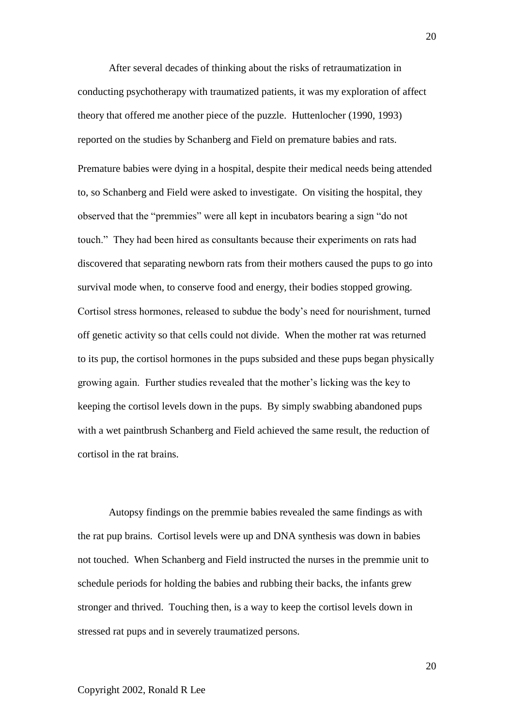After several decades of thinking about the risks of retraumatization in conducting psychotherapy with traumatized patients, it was my exploration of affect theory that offered me another piece of the puzzle. Huttenlocher (1990, 1993) reported on the studies by Schanberg and Field on premature babies and rats. Premature babies were dying in a hospital, despite their medical needs being attended to, so Schanberg and Field were asked to investigate. On visiting the hospital, they observed that the "premmies" were all kept in incubators bearing a sign "do not touch." They had been hired as consultants because their experiments on rats had discovered that separating newborn rats from their mothers caused the pups to go into survival mode when, to conserve food and energy, their bodies stopped growing. Cortisol stress hormones, released to subdue the body's need for nourishment, turned off genetic activity so that cells could not divide. When the mother rat was returned to its pup, the cortisol hormones in the pups subsided and these pups began physically growing again. Further studies revealed that the mother's licking was the key to keeping the cortisol levels down in the pups. By simply swabbing abandoned pups with a wet paintbrush Schanberg and Field achieved the same result, the reduction of cortisol in the rat brains.

Autopsy findings on the premmie babies revealed the same findings as with the rat pup brains. Cortisol levels were up and DNA synthesis was down in babies not touched. When Schanberg and Field instructed the nurses in the premmie unit to schedule periods for holding the babies and rubbing their backs, the infants grew stronger and thrived. Touching then, is a way to keep the cortisol levels down in stressed rat pups and in severely traumatized persons.

20

## Copyright 2002, Ronald R Lee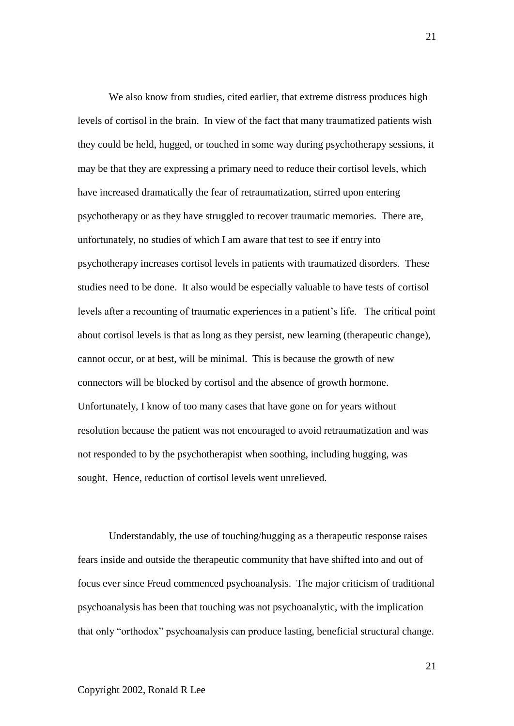We also know from studies, cited earlier, that extreme distress produces high levels of cortisol in the brain. In view of the fact that many traumatized patients wish they could be held, hugged, or touched in some way during psychotherapy sessions, it may be that they are expressing a primary need to reduce their cortisol levels, which have increased dramatically the fear of retraumatization, stirred upon entering psychotherapy or as they have struggled to recover traumatic memories. There are, unfortunately, no studies of which I am aware that test to see if entry into psychotherapy increases cortisol levels in patients with traumatized disorders. These studies need to be done. It also would be especially valuable to have tests of cortisol levels after a recounting of traumatic experiences in a patient's life. The critical point about cortisol levels is that as long as they persist, new learning (therapeutic change), cannot occur, or at best, will be minimal. This is because the growth of new connectors will be blocked by cortisol and the absence of growth hormone. Unfortunately, I know of too many cases that have gone on for years without resolution because the patient was not encouraged to avoid retraumatization and was not responded to by the psychotherapist when soothing, including hugging, was sought. Hence, reduction of cortisol levels went unrelieved.

Understandably, the use of touching/hugging as a therapeutic response raises fears inside and outside the therapeutic community that have shifted into and out of focus ever since Freud commenced psychoanalysis. The major criticism of traditional psychoanalysis has been that touching was not psychoanalytic, with the implication that only "orthodox" psychoanalysis can produce lasting, beneficial structural change.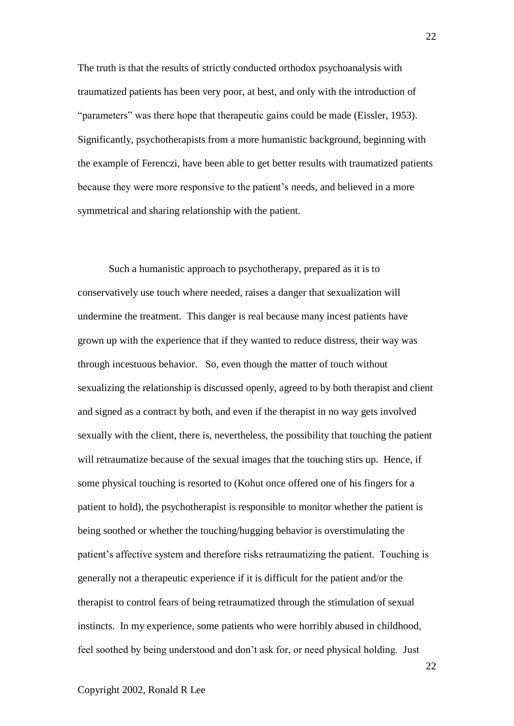The truth is that the results of strictly conducted orthodox psychoanalysis with traumatized patients has been very poor, at best, and only with the introduction of "parameters" was there hope that therapeutic gains could be made (Eissler, 1953). Significantly, psychotherapists from a more humanistic background, beginning with the example of Ferenczi, have been able to get better results with traumatized patients because they were more responsive to the patient's needs, and believed in a more symmetrical and sharing relationship with the patient.

Such a humanistic approach to psychotherapy, prepared as it is to conservatively use touch where needed, raises a danger that sexualization will undermine the treatment. This danger is real because many incest patients have grown up with the experience that if they wanted to reduce distress, their way was through incestuous behavior. So, even though the matter of touch without sexualizing the relationship is discussed openly, agreed to by both therapist and client and signed as a contract by both, and even if the therapist in no way gets involved sexually with the client, there is, nevertheless, the possibility that touching the patient will retraumatize because of the sexual images that the touching stirs up. Hence, if some physical touching is resorted to (Kohut once offered one of his fingers for a patient to hold), the psychotherapist is responsible to monitor whether the patient is being soothed or whether the touching/hugging behavior is overstimulating the patient's affective system and therefore risks retraumatizing the patient. Touching is generally not a therapeutic experience if it is difficult for the patient and/or the therapist to control fears of being retraumatized through the stimulation of sexual instincts. In my experience, some patients who were horribly abused in childhood, feel soothed by being understood and don't ask for, or need physical holding. Just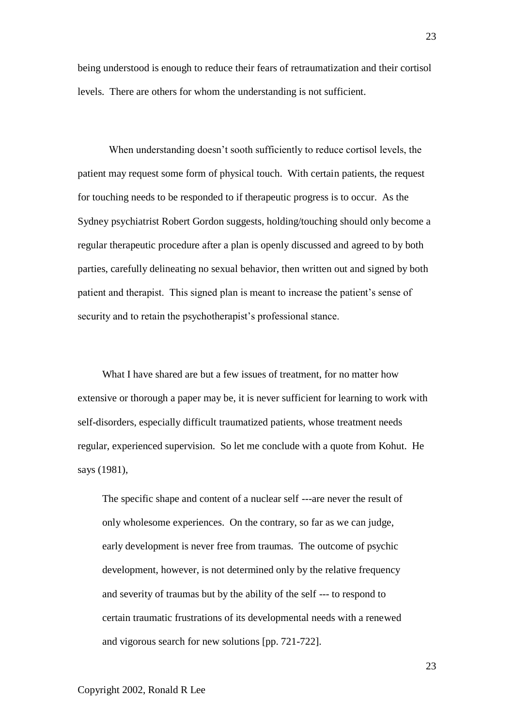being understood is enough to reduce their fears of retraumatization and their cortisol levels. There are others for whom the understanding is not sufficient.

When understanding doesn't sooth sufficiently to reduce cortisol levels, the patient may request some form of physical touch. With certain patients, the request for touching needs to be responded to if therapeutic progress is to occur. As the Sydney psychiatrist Robert Gordon suggests, holding/touching should only become a regular therapeutic procedure after a plan is openly discussed and agreed to by both parties, carefully delineating no sexual behavior, then written out and signed by both patient and therapist. This signed plan is meant to increase the patient's sense of security and to retain the psychotherapist's professional stance.

What I have shared are but a few issues of treatment, for no matter how extensive or thorough a paper may be, it is never sufficient for learning to work with self-disorders, especially difficult traumatized patients, whose treatment needs regular, experienced supervision. So let me conclude with a quote from Kohut. He says (1981),

The specific shape and content of a nuclear self ---are never the result of only wholesome experiences. On the contrary, so far as we can judge, early development is never free from traumas. The outcome of psychic development, however, is not determined only by the relative frequency and severity of traumas but by the ability of the self --- to respond to certain traumatic frustrations of its developmental needs with a renewed and vigorous search for new solutions [pp. 721-722].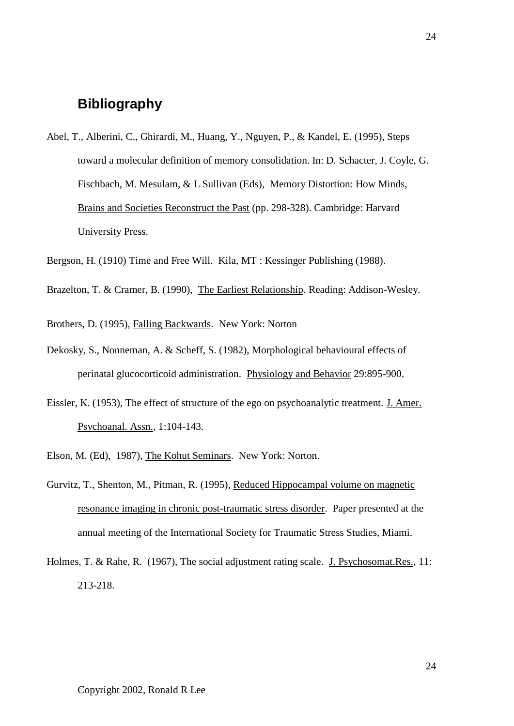# **Bibliography**

Abel, T., Alberini, C., Ghirardi, M., Huang, Y., Nguyen, P., & Kandel, E. (1995), Steps toward a molecular definition of memory consolidation. In: D. Schacter, J. Coyle, G. Fischbach, M. Mesulam, & L Sullivan (Eds), Memory Distortion: How Minds, Brains and Societies Reconstruct the Past (pp. 298-328). Cambridge: Harvard University Press.

Bergson, H. (1910) Time and Free Will. Kila, MT : Kessinger Publishing (1988).

- Brazelton, T. & Cramer, B. (1990), The Earliest Relationship. Reading: Addison-Wesley.
- Brothers, D. (1995), Falling Backwards. New York: Norton
- Dekosky, S., Nonneman, A. & Scheff, S. (1982), Morphological behavioural effects of perinatal glucocorticoid administration. Physiology and Behavior 29:895-900.
- Eissler, K. (1953), The effect of structure of the ego on psychoanalytic treatment. J. Amer. Psychoanal. Assn., 1:104-143.
- Elson, M. (Ed), 1987), The Kohut Seminars. New York: Norton.
- Gurvitz, T., Shenton, M., Pitman, R. (1995), Reduced Hippocampal volume on magnetic resonance imaging in chronic post-traumatic stress disorder. Paper presented at the annual meeting of the International Society for Traumatic Stress Studies, Miami.
- Holmes, T. & Rahe, R. (1967), The social adjustment rating scale. J. Psychosomat.Res., 11: 213-218.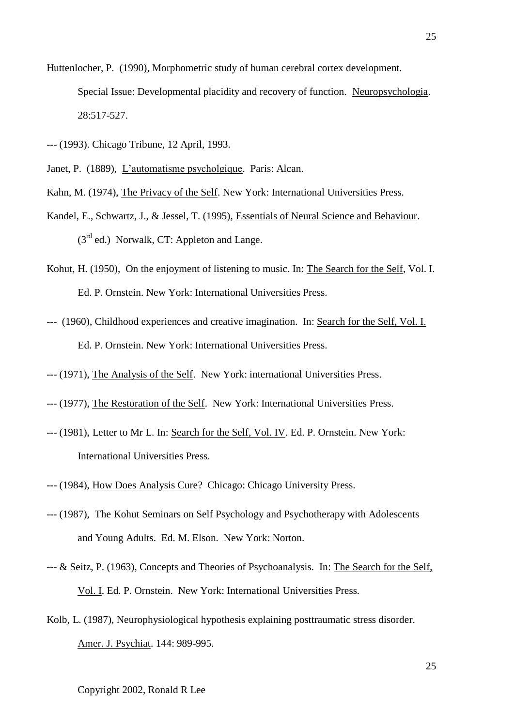- Huttenlocher, P. (1990), Morphometric study of human cerebral cortex development. Special Issue: Developmental placidity and recovery of function. Neuropsychologia. 28:517-527.
- --- (1993). Chicago Tribune, 12 April, 1993.
- Janet, P. (1889), L'automatisme psycholgique. Paris: Alcan.
- Kahn, M. (1974), The Privacy of the Self. New York: International Universities Press.
- Kandel, E., Schwartz, J., & Jessel, T. (1995), Essentials of Neural Science and Behaviour.  $(3<sup>rd</sup>$  ed.) Norwalk, CT: Appleton and Lange.
- Kohut, H. (1950), On the enjoyment of listening to music. In: The Search for the Self, Vol. I. Ed. P. Ornstein. New York: International Universities Press.
- --- (1960), Childhood experiences and creative imagination. In: Search for the Self, Vol. I. Ed. P. Ornstein. New York: International Universities Press.
- --- (1971), The Analysis of the Self. New York: international Universities Press.
- --- (1977), The Restoration of the Self. New York: International Universities Press.
- --- (1981), Letter to Mr L. In: Search for the Self, Vol. IV. Ed. P. Ornstein. New York: International Universities Press.
- --- (1984), How Does Analysis Cure? Chicago: Chicago University Press.
- --- (1987), The Kohut Seminars on Self Psychology and Psychotherapy with Adolescents and Young Adults. Ed. M. Elson. New York: Norton.
- --- & Seitz, P. (1963), Concepts and Theories of Psychoanalysis. In: The Search for the Self, Vol. I. Ed. P. Ornstein. New York: International Universities Press.
- Kolb, L. (1987), Neurophysiological hypothesis explaining posttraumatic stress disorder. Amer. J. Psychiat. 144: 989-995.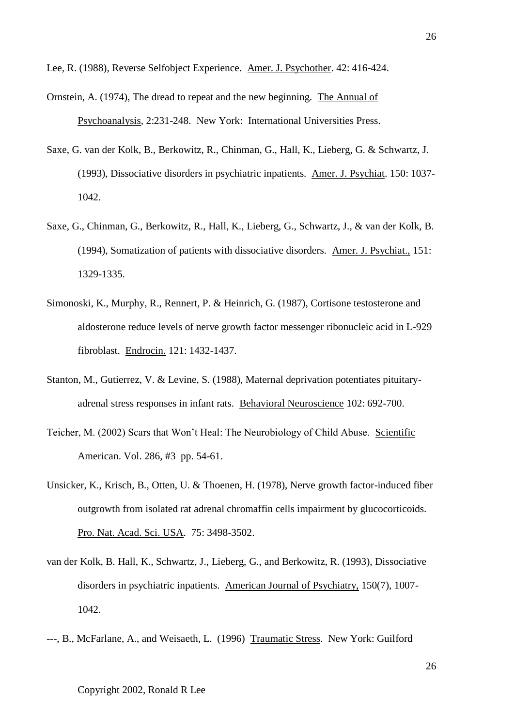Lee, R. (1988), Reverse Selfobject Experience. Amer. J. Psychother. 42: 416-424.

Ornstein, A. (1974), The dread to repeat and the new beginning. The Annual of Psychoanalysis, 2:231-248. New York: International Universities Press.

- Saxe, G. van der Kolk, B., Berkowitz, R., Chinman, G., Hall, K., Lieberg, G. & Schwartz, J. (1993), Dissociative disorders in psychiatric inpatients. Amer. J. Psychiat. 150: 1037- 1042.
- Saxe, G., Chinman, G., Berkowitz, R., Hall, K., Lieberg, G., Schwartz, J., & van der Kolk, B. (1994), Somatization of patients with dissociative disorders. Amer. J. Psychiat., 151: 1329-1335.
- Simonoski, K., Murphy, R., Rennert, P. & Heinrich, G. (1987), Cortisone testosterone and aldosterone reduce levels of nerve growth factor messenger ribonucleic acid in L-929 fibroblast. Endrocin. 121: 1432-1437.
- Stanton, M., Gutierrez, V. & Levine, S. (1988), Maternal deprivation potentiates pituitaryadrenal stress responses in infant rats. Behavioral Neuroscience 102: 692-700.
- Teicher, M. (2002) Scars that Won't Heal: The Neurobiology of Child Abuse. Scientific American. Vol. 286, #3 pp. 54-61.
- Unsicker, K., Krisch, B., Otten, U. & Thoenen, H. (1978), Nerve growth factor-induced fiber outgrowth from isolated rat adrenal chromaffin cells impairment by glucocorticoids. Pro. Nat. Acad. Sci. USA. 75: 3498-3502.
- van der Kolk, B. Hall, K., Schwartz, J., Lieberg, G., and Berkowitz, R. (1993), Dissociative disorders in psychiatric inpatients. American Journal of Psychiatry, 150(7), 1007- 1042.
- ---, B., McFarlane, A., and Weisaeth, L. (1996) Traumatic Stress. New York: Guilford